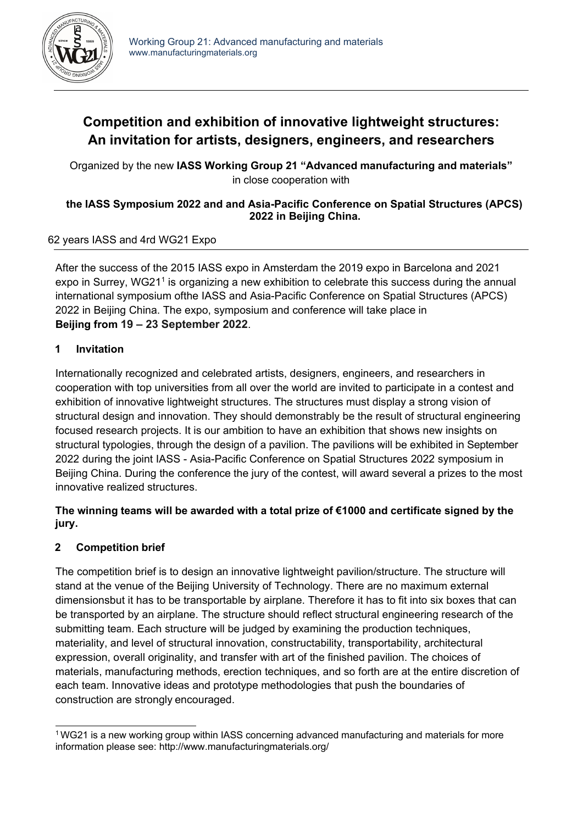

# **Competition and exhibition of innovative lightweight structures: An invitation for artists, designers, engineers, and researchers**

Organized by the new **IASS Working Group 21 "Advanced manufacturing and materials"** in close cooperation with

#### **the IASS Symposium 2022 and and Asia-Pacific Conference on Spatial Structures (APCS) 2022 in Beijing China.**

#### 62 years IASS and 4rd WG21 Expo

After the success of the 2015 IASS expo in Amsterdam the 2019 expo in Barcelona and 2021 expo in Surrey, WG211 is organizing a new exhibition to celebrate this success during the annual international symposium ofthe IASS and Asia-Pacific Conference on Spatial Structures (APCS) 2022 in Beijing China. The expo, symposium and conference will take place in **Beijing from 19 – 23 September 2022**.

# **1 Invitation**

Internationally recognized and celebrated artists, designers, engineers, and researchers in cooperation with top universities from all over the world are invited to participate in a contest and exhibition of innovative lightweight structures. The structures must display a strong vision of structural design and innovation. They should demonstrably be the result of structural engineering focused research projects. It is our ambition to have an exhibition that shows new insights on structural typologies, through the design of a pavilion. The pavilions will be exhibited in September 2022 during the joint IASS - Asia-Pacific Conference on Spatial Structures 2022 symposium in Beijing China. During the conference the jury of the contest, will award several a prizes to the most innovative realized structures.

### **The winning teams will be awarded with a total prize of €1000 and certificate signed by the jury.**

# **2 Competition brief**

The competition brief is to design an innovative lightweight pavilion/structure. The structure will stand at the venue of the Beijing University of Technology. There are no maximum external dimensionsbut it has to be transportable by airplane. Therefore it has to fit into six boxes that can be transported by an airplane. The structure should reflect structural engineering research of the submitting team. Each structure will be judged by examining the production techniques, materiality, and level of structural innovation, constructability, transportability, architectural expression, overall originality, and transfer with art of the finished pavilion. The choices of materials, manufacturing methods, erection techniques, and so forth are at the entire discretion of each team. Innovative ideas and prototype methodologies that push the boundaries of construction are strongly encouraged.

<sup>1</sup> WG21 is a new working group within IASS concerning advanced manufacturing and materials for more information please see:<http://www.manufacturingmaterials.org/>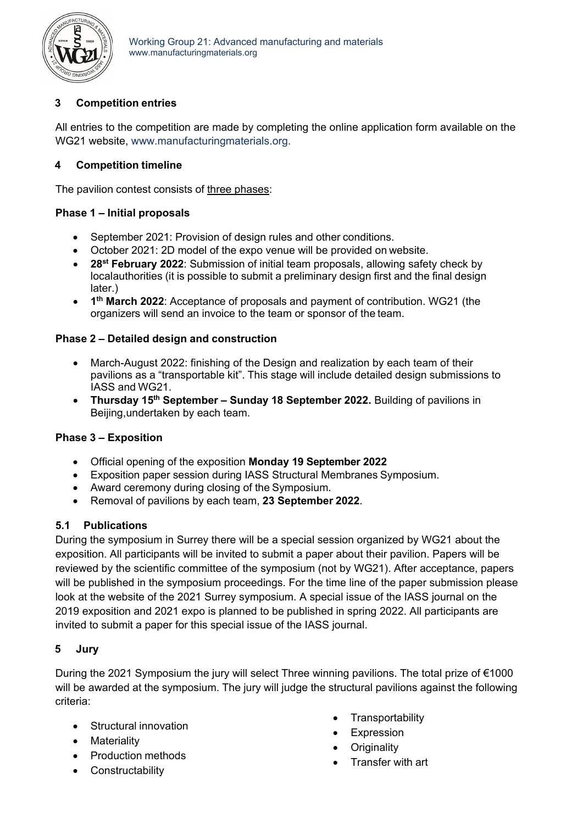

# **3 Competition entries**

All entries to the competition are made by completing the online application form available on the WG21 website, [www.manufacturingmaterials.org.](http://www.manufacturingmaterials.org/)

## **4 Competition timeline**

The pavilion contest consists of three phases:

### **Phase 1 – Initial proposals**

- September 2021: Provision of design rules and other conditions.
- October 2021: 2D model of the expo venue will be provided on website.
- **28st February 2022**: Submission of initial team proposals, allowing safety check by localauthorities (it is possible to submit a preliminary design first and the final design later.)
- **1th March 2022**: Acceptance of proposals and payment of contribution. WG21 (the organizers will send an invoice to the team or sponsor of the team.

### **Phase 2 – Detailed design and construction**

- March-August 2022: finishing of the Design and realization by each team of their pavilions as a "transportable kit". This stage will include detailed design submissions to IASS and WG21.
- **Thursday 15th September Sunday 18 September 2022.** Building of pavilions in Beijing, undertaken by each team.

#### **Phase 3 – Exposition**

- Official opening of the exposition **Monday 19 September 2022**
- Exposition paper session during IASS Structural Membranes Symposium.
- Award ceremony during closing of the Symposium.
- Removal of pavilions by each team, **23 September 2022**.

# **5.1 Publications**

During the symposium in Surrey there will be a special session organized by WG21 about the exposition. All participants will be invited to submit a paper about their pavilion. Papers will be reviewed by the scientific committee of the symposium (not by WG21). After acceptance, papers will be published in the symposium proceedings. For the time line of the paper submission please look at the website of the 2021 Surrey symposium. A special issue of the IASS journal on the 2019 exposition and 2021 expo is planned to be published in spring 2022. All participants are invited to submit a paper for this special issue of the IASS journal.

#### **5 Jury**

During the 2021 Symposium the jury will select Three winning pavilions. The total prize of €1000 will be awarded at the symposium. The jury will judge the structural pavilions against the following criteria:

- Structural innovation
- Materiality
- Production methods
- Constructability
- **Transportability**
- **Expression**
- **Originality**
- Transfer with art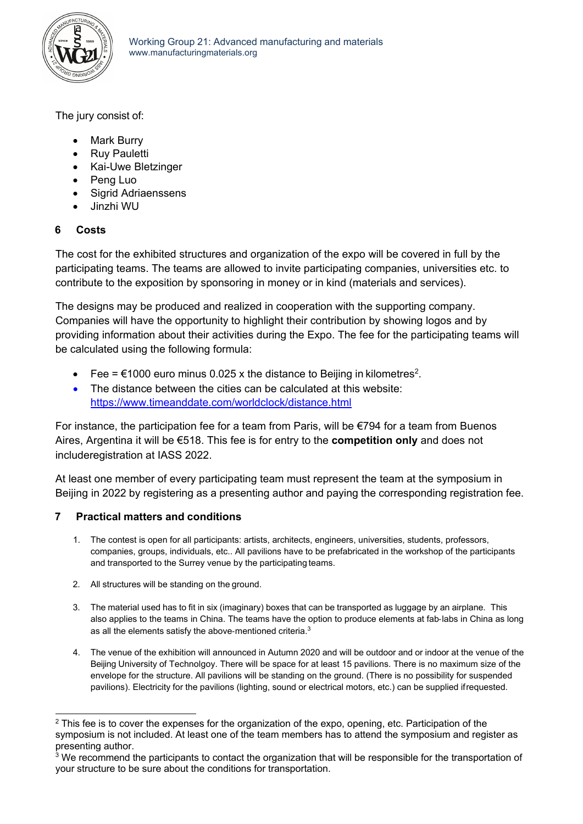

The jury consist of:

- Mark Burry
- Ruy Pauletti
- Kai-Uwe Bletzinger
- Peng Luo
- Sigrid Adriaenssens
- Jinzhi WU

# **6 Costs**

The cost for the exhibited structures and organization of the expo will be covered in full by the participating teams. The teams are allowed to invite participating companies, universities etc. to contribute to the exposition by sponsoring in money or in kind (materials and services).

The designs may be produced and realized in cooperation with the supporting company. Companies will have the opportunity to highlight their contribution by showing logos and by providing information about their activities during the Expo. The fee for the participating teams will be calculated using the following formula:

- Fee =  $\epsilon$ 1000 euro minus 0.025 x the distance to Beiling in kilometres<sup>2</sup>.
- The distance between the cities can be calculated at this website: https:/[/www.timeanddate.com/worldclock/distance.html](http://www.timeanddate.com/worldclock/distance.html)

For instance, the participation fee for a team from Paris, will be €794 for a team from Buenos Aires, Argentina it will be €518. This fee is for entry to the **competition only** and does not includeregistration at IASS 2022.

At least one member of every participating team must represent the team at the symposium in Beijing in 2022 by registering as a presenting author and paying the corresponding registration fee.

# **7 Practical matters and conditions**

- 1. The contest is open for all participants: artists, architects, engineers, universities, students, professors, companies, groups, individuals, etc.. All pavilions have to be prefabricated in the workshop of the participants and transported to the Surrey venue by the participating teams.
- 2. All structures will be standing on the ground.
- 3. The material used has to fit in six (imaginary) boxes that can be transported as luggage by an airplane. This also applies to the teams in China. The teams have the option to produce elements at fab-labs in China as long as all the elements satisfy the above-mentioned criteria.3
- 4. The venue of the exhibition will announced in Autumn 2020 and will be outdoor and or indoor at the venue of the Beijing University of Technolgoy. There will be space for at least 15 pavilions. There is no maximum size of the envelope for the structure. All pavilions will be standing on the ground. (There is no possibility for suspended pavilions). Electricity for the pavilions (lighting, sound or electrical motors, etc.) can be supplied ifrequested.

 $2$  This fee is to cover the expenses for the organization of the expo, opening, etc. Participation of the symposium is not included. At least one of the team members has to attend the symposium and register as presenting author.

<sup>&</sup>lt;sup>3</sup> We recommend the participants to contact the organization that will be responsible for the transportation of your structure to be sure about the conditions for transportation.